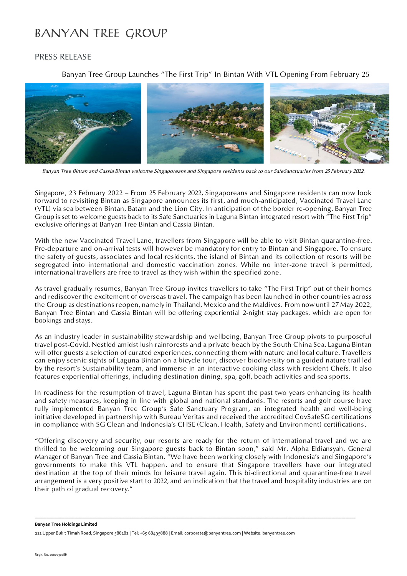# **BANYAN TREE GROUP**

## PRESS RELEASE

Banyan Tree Group Launches "The First Trip" In Bintan With VTL Opening From February 25



*Banyan Tree Bintan and Cassia Bintan welcome Singaporeans and Singapore residents back to our SafeSanctuaries from 25 February 2022.*

Singapore, 23 February 2022 – From 25 February 2022, Singaporeans and Singapore residents can now look forward to revisiting Bintan as Singapore announces its first, and much-anticipated, Vaccinated Travel Lane (VTL) via sea between Bintan, Batam and the Lion City. In anticipation of the border re-opening, Banyan Tree Group is set to welcome guests back to its Safe Sanctuaries in Laguna Bintan integrated resort with "The First Trip" exclusive offerings at Banyan Tree Bintan and Cassia Bintan.

With the new Vaccinated Travel Lane, travellers from Singapore will be able to visit Bintan quarantine-free. Pre-departure and on-arrival tests will however be mandatory for entry to Bintan and Singapore. To ensure the safety of guests, associates and local residents, the island of Bintan and its collection of resorts will be segregated into international and domestic vaccination zones. While no inter-zone travel is permitted, international travellers are free to travel as they wish within the specified zone.

As travel gradually resumes, Banyan Tree Group invites travellers to take "The First Trip" out of their homes and rediscover the excitement of overseas travel. The campaign has been launched in other countries across the Group as destinations reopen, namely in Thailand, Mexico and the Maldives. From now until 27 May 2022, Banyan Tree Bintan and Cassia Bintan will be offering experiential 2-night stay packages, which are open for bookings and stays.

As an industry leader in sustainability stewardship and wellbeing, Banyan Tree Group pivots to purposeful travel post-Covid. Nestled amidst lush rainforests and a private beach by the South China Sea, Laguna Bintan will offer guests a selection of curated experiences, connecting them with nature and local culture. Travellers can enjoy scenic sights of Laguna Bintan on a bicycle tour, discover biodiversity on a guided nature trail led by the resort's Sustainability team, and immerse in an interactive cooking class with resident Chefs. It also features experiential offerings, including destination dining, spa, golf, beach activities and sea sports.

In readiness for the resumption of travel, Laguna Bintan has spent the past two years enhancing its health and safety measures, keeping in line with global and national standards. The resorts and golf course have fully implemented Banyan Tree Group's Safe Sanctuary Program, an integrated health and well-being initiative developed in partnership with Bureau Veritas and received the accredited CovSafeSG certifications in compliance with SG Clean and Indonesia's CHSE (Clean, Health, Safety and Environment) certifications.

"Offering discovery and security, our resorts are ready for the return of international travel and we are thrilled to be welcoming our Singapore guests back to Bintan soon," said Mr. Alpha Eldiansyah, General Manager of Banyan Tree and Cassia Bintan. "We have been working closely with Indonesia's and Singapore's governments to make this VTL happen, and to ensure that Singapore travellers have our integrated destination at the top of their minds for leisure travel again. This bi-directional and quarantine-free travel arrangement is a very positive start to 2022, and an indication that the travel and hospitality industries are on their path of gradual recovery."

**\_\_\_\_\_\_\_\_\_\_\_\_\_\_\_\_\_\_\_\_\_\_\_\_\_\_\_\_\_\_\_\_\_\_\_\_\_\_\_\_\_\_\_\_\_\_\_\_\_\_\_\_\_\_\_\_\_\_\_\_\_\_\_\_\_\_\_\_\_\_\_\_\_\_\_\_\_\_\_\_\_\_\_\_\_\_\_\_\_\_\_\_\_\_\_\_\_\_\_\_\_\_\_\_\_\_\_\_\_\_\_\_\_\_\_\_\_\_\_\_\_\_\_\_\_\_\_\_\_\_\_\_\_\_\_\_\_\_\_\_\_\_\_\_\_\_\_\_\_\_\_\_\_\_\_\_\_\_\_\_**

**Banyan Tree Holdings Limited**

211 Upper Bukit Timah Road, Singapore 588182 | Tel: +65 68495888 | Email: corporate@banyantree.com | Website: banyantree.com